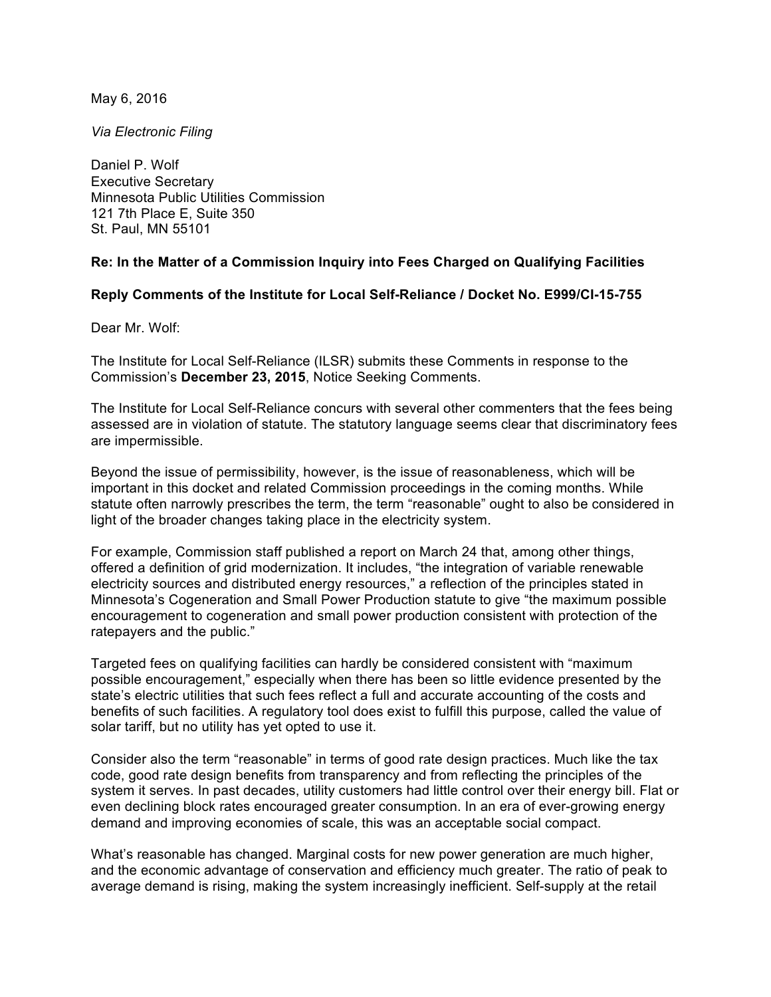May 6, 2016

*Via Electronic Filing*

Daniel P. Wolf Executive Secretary Minnesota Public Utilities Commission 121 7th Place E, Suite 350 St. Paul, MN 55101

## **Re: In the Matter of a Commission Inquiry into Fees Charged on Qualifying Facilities**

## **Reply Comments of the Institute for Local Self-Reliance / Docket No. E999/CI-15-755**

Dear Mr. Wolf:

The Institute for Local Self-Reliance (ILSR) submits these Comments in response to the Commission's **December 23, 2015**, Notice Seeking Comments.

The Institute for Local Self-Reliance concurs with several other commenters that the fees being assessed are in violation of statute. The statutory language seems clear that discriminatory fees are impermissible.

Beyond the issue of permissibility, however, is the issue of reasonableness, which will be important in this docket and related Commission proceedings in the coming months. While statute often narrowly prescribes the term, the term "reasonable" ought to also be considered in light of the broader changes taking place in the electricity system.

For example, Commission staff published a report on March 24 that, among other things, offered a definition of grid modernization. It includes, "the integration of variable renewable electricity sources and distributed energy resources," a reflection of the principles stated in Minnesota's Cogeneration and Small Power Production statute to give "the maximum possible encouragement to cogeneration and small power production consistent with protection of the ratepayers and the public."

Targeted fees on qualifying facilities can hardly be considered consistent with "maximum possible encouragement," especially when there has been so little evidence presented by the state's electric utilities that such fees reflect a full and accurate accounting of the costs and benefits of such facilities. A regulatory tool does exist to fulfill this purpose, called the value of solar tariff, but no utility has yet opted to use it.

Consider also the term "reasonable" in terms of good rate design practices. Much like the tax code, good rate design benefits from transparency and from reflecting the principles of the system it serves. In past decades, utility customers had little control over their energy bill. Flat or even declining block rates encouraged greater consumption. In an era of ever-growing energy demand and improving economies of scale, this was an acceptable social compact.

What's reasonable has changed. Marginal costs for new power generation are much higher, and the economic advantage of conservation and efficiency much greater. The ratio of peak to average demand is rising, making the system increasingly inefficient. Self-supply at the retail